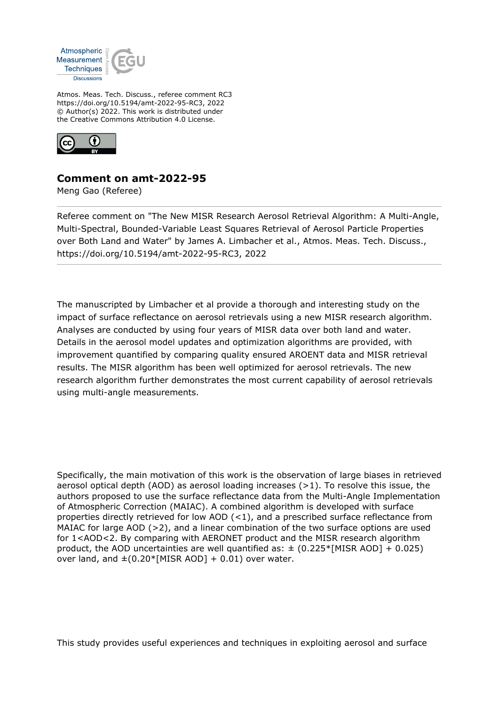

Atmos. Meas. Tech. Discuss., referee comment RC3 https://doi.org/10.5194/amt-2022-95-RC3, 2022 © Author(s) 2022. This work is distributed under the Creative Commons Attribution 4.0 License.



## **Comment on amt-2022-95**

Meng Gao (Referee)

Referee comment on "The New MISR Research Aerosol Retrieval Algorithm: A Multi-Angle, Multi-Spectral, Bounded-Variable Least Squares Retrieval of Aerosol Particle Properties over Both Land and Water" by James A. Limbacher et al., Atmos. Meas. Tech. Discuss., https://doi.org/10.5194/amt-2022-95-RC3, 2022

The manuscripted by Limbacher et al provide a thorough and interesting study on the impact of surface reflectance on aerosol retrievals using a new MISR research algorithm. Analyses are conducted by using four years of MISR data over both land and water. Details in the aerosol model updates and optimization algorithms are provided, with improvement quantified by comparing quality ensured AROENT data and MISR retrieval results. The MISR algorithm has been well optimized for aerosol retrievals. The new research algorithm further demonstrates the most current capability of aerosol retrievals using multi-angle measurements.

Specifically, the main motivation of this work is the observation of large biases in retrieved aerosol optical depth (AOD) as aerosol loading increases (>1). To resolve this issue, the authors proposed to use the surface reflectance data from the Multi-Angle Implementation of Atmospheric Correction (MAIAC). A combined algorithm is developed with surface properties directly retrieved for low AOD (<1), and a prescribed surface reflectance from MAIAC for large AOD (>2), and a linear combination of the two surface options are used for 1<AOD<2. By comparing with AERONET product and the MISR research algorithm product, the AOD uncertainties are well quantified as:  $\pm$  (0.225\*[MISR AOD] + 0.025) over land, and  $\pm (0.20^*$ [MISR AOD] + 0.01) over water.

This study provides useful experiences and techniques in exploiting aerosol and surface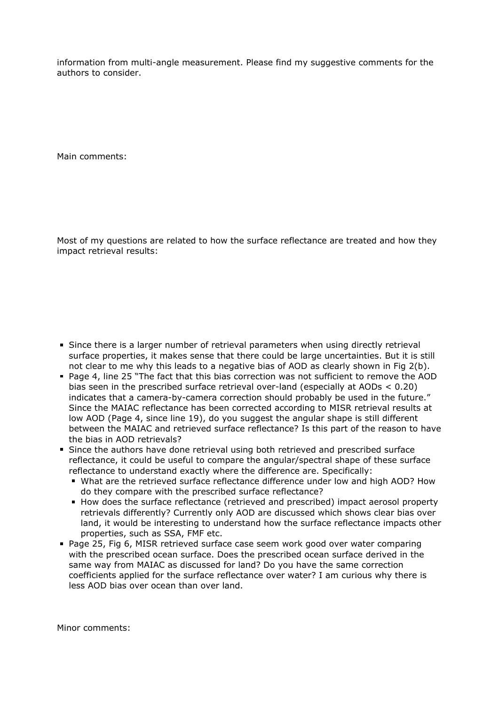information from multi-angle measurement. Please find my suggestive comments for the authors to consider.

Main comments:

Most of my questions are related to how the surface reflectance are treated and how they impact retrieval results:

- Since there is a larger number of retrieval parameters when using directly retrieval surface properties, it makes sense that there could be large uncertainties. But it is still not clear to me why this leads to a negative bias of AOD as clearly shown in Fig 2(b).
- Page 4, line 25 "The fact that this bias correction was not sufficient to remove the AOD bias seen in the prescribed surface retrieval over-land (especially at AODs < 0.20) indicates that a camera-by-camera correction should probably be used in the future." Since the MAIAC reflectance has been corrected according to MISR retrieval results at low AOD (Page 4, since line 19), do you suggest the angular shape is still different between the MAIAC and retrieved surface reflectance? Is this part of the reason to have the bias in AOD retrievals?
- Since the authors have done retrieval using both retrieved and prescribed surface reflectance, it could be useful to compare the angular/spectral shape of these surface reflectance to understand exactly where the difference are. Specifically:
	- What are the retrieved surface reflectance difference under low and high AOD? How do they compare with the prescribed surface reflectance?
	- How does the surface reflectance (retrieved and prescribed) impact aerosol property retrievals differently? Currently only AOD are discussed which shows clear bias over land, it would be interesting to understand how the surface reflectance impacts other properties, such as SSA, FMF etc.
- Page 25, Fig 6, MISR retrieved surface case seem work good over water comparing with the prescribed ocean surface. Does the prescribed ocean surface derived in the same way from MAIAC as discussed for land? Do you have the same correction coefficients applied for the surface reflectance over water? I am curious why there is less AOD bias over ocean than over land.

Minor comments: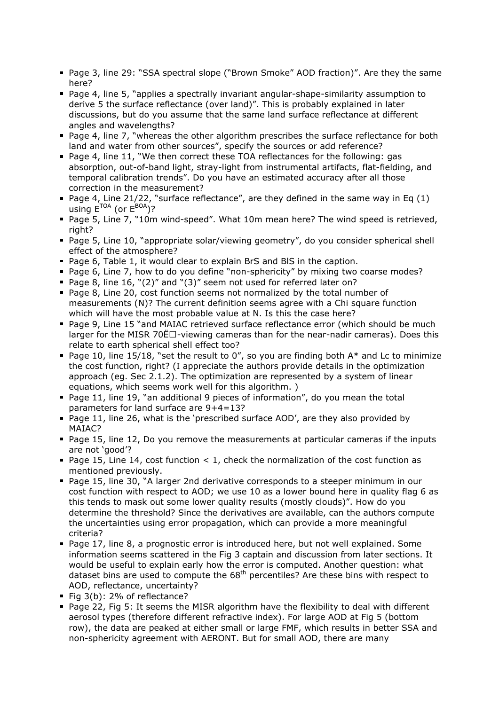- Page 3, line 29: "SSA spectral slope ("Brown Smoke" AOD fraction)". Are they the same here?
- Page 4, line 5, "applies a spectrally invariant angular-shape-similarity assumption to derive 5 the surface reflectance (over land)". This is probably explained in later discussions, but do you assume that the same land surface reflectance at different angles and wavelengths?
- Page 4, line 7, "whereas the other algorithm prescribes the surface reflectance for both land and water from other sources", specify the sources or add reference?
- Page 4, line 11, "We then correct these TOA reflectances for the following: gas absorption, out-of-band light, stray-light from instrumental artifacts, flat-fielding, and temporal calibration trends". Do you have an estimated accuracy after all those correction in the measurement?
- Page 4, Line 21/22, "surface reflectance", are they defined in the same way in Eq  $(1)$ using  $E^{TOA}$  (or  $E^{BOA}$ )?
- Page 5, Line 7, "10m wind-speed". What 10m mean here? The wind speed is retrieved, right?
- Page 5, Line 10, "appropriate solar/viewing geometry", do you consider spherical shell effect of the atmosphere?
- Page 6, Table 1, it would clear to explain BrS and BlS in the caption.
- Page 6, Line 7, how to do you define "non-sphericity" by mixing two coarse modes?
- Page 8, line 16, "(2)" and "(3)" seem not used for referred later on?
- Page 8, Line 20, cost function seems not normalized by the total number of measurements (N)? The current definition seems agree with a Chi square function which will have the most probable value at N. Is this the case here?
- Page 9, Line 15 "and MAIAC retrieved surface reflectance error (which should be much larger for the MISR 70 $E_{\text{}}$  -viewing cameras than for the near-nadir cameras). Does this relate to earth spherical shell effect too?
- Page 10, line 15/18, "set the result to 0", so you are finding both  $A^*$  and Lc to minimize the cost function, right? (I appreciate the authors provide details in the optimization approach (eg. Sec 2.1.2). The optimization are represented by a system of linear equations, which seems work well for this algorithm. )
- Page 11, line 19, "an additional 9 pieces of information", do you mean the total parameters for land surface are 9+4=13?
- Page 11, line 26, what is the 'prescribed surface AOD', are they also provided by MAIAC?
- Page 15, line 12, Do you remove the measurements at particular cameras if the inputs are not 'good'?
- Page 15, Line 14, cost function  $< 1$ , check the normalization of the cost function as mentioned previously.
- Page 15, line 30, "A larger 2nd derivative corresponds to a steeper minimum in our cost function with respect to AOD; we use 10 as a lower bound here in quality flag 6 as this tends to mask out some lower quality results (mostly clouds)". How do you determine the threshold? Since the derivatives are available, can the authors compute the uncertainties using error propagation, which can provide a more meaningful criteria?
- Page 17, line 8, a prognostic error is introduced here, but not well explained. Some information seems scattered in the Fig 3 captain and discussion from later sections. It would be useful to explain early how the error is computed. Another question: what dataset bins are used to compute the  $68<sup>th</sup>$  percentiles? Are these bins with respect to AOD, reflectance, uncertainty?
- Fig 3(b): 2% of reflectance?
- Page 22, Fig 5: It seems the MISR algorithm have the flexibility to deal with different aerosol types (therefore different refractive index). For large AOD at Fig 5 (bottom row), the data are peaked at either small or large FMF, which results in better SSA and non-sphericity agreement with AERONT. But for small AOD, there are many